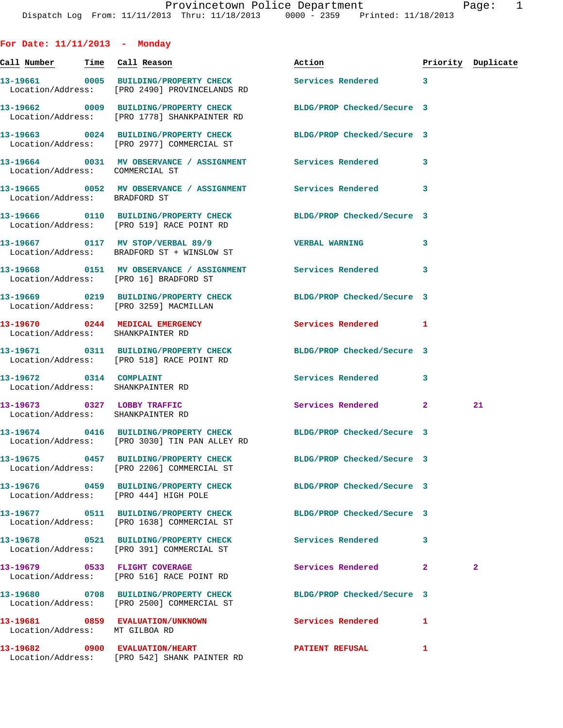| For Date: $11/11/2013$ - Monday                                      |                                                                                                                   |                            |              |                    |
|----------------------------------------------------------------------|-------------------------------------------------------------------------------------------------------------------|----------------------------|--------------|--------------------|
|                                                                      |                                                                                                                   | Action                     |              | Priority Duplicate |
|                                                                      | 13-19661 0005 BUILDING/PROPERTY CHECK<br>Location/Address: [PRO 2490] PROVINCELANDS RD                            | Services Rendered 3        |              |                    |
|                                                                      | 13-19662 0009 BUILDING/PROPERTY CHECK BLDG/PROP Checked/Secure 3<br>Location/Address: [PRO 1778] SHANKPAINTER RD  |                            |              |                    |
|                                                                      | 13-19663 0024 BUILDING/PROPERTY CHECK BLDG/PROP Checked/Secure 3<br>Location/Address: [PRO 2977] COMMERCIAL ST    |                            |              |                    |
| Location/Address: COMMERCIAL ST                                      | 13-19664 0031 MV OBSERVANCE / ASSIGNMENT Services Rendered                                                        |                            | 3            |                    |
| Location/Address: BRADFORD ST                                        | 13-19665 0052 MV OBSERVANCE / ASSIGNMENT Services Rendered 3                                                      |                            |              |                    |
|                                                                      | 13-19666 0110 BUILDING/PROPERTY CHECK BLDG/PROP Checked/Secure 3<br>Location/Address: [PRO 519] RACE POINT RD     |                            |              |                    |
|                                                                      | 13-19667 0117 MV STOP/VERBAL 89/9<br>Location/Address: BRADFORD ST + WINSLOW ST                                   | <b>VERBAL WARNING</b>      | 3            |                    |
| Location/Address: [PRO 16] BRADFORD ST                               | 13-19668 0151 MV OBSERVANCE / ASSIGNMENT Services Rendered                                                        |                            | 3            |                    |
|                                                                      | 13-19669 0219 BUILDING/PROPERTY CHECK BLDG/PROP Checked/Secure 3<br>Location/Address: [PRO 3259] MACMILLAN        |                            |              |                    |
| 13-19670 0244 MEDICAL EMERGENCY<br>Location/Address: SHANKPAINTER RD |                                                                                                                   | <b>Services Rendered</b> 1 |              |                    |
|                                                                      | 13-19671 0311 BUILDING/PROPERTY CHECK<br>Location/Address: [PRO 518] RACE POINT RD                                | BLDG/PROP Checked/Secure 3 |              |                    |
| 13-19672 0314 COMPLAINT<br>Location/Address: SHANKPAINTER RD         |                                                                                                                   | <b>Services Rendered</b>   | 3            |                    |
| 13-19673 0327 LOBBY TRAFFIC<br>Location/Address: SHANKPAINTER RD     |                                                                                                                   | Services Rendered 2        |              | 21                 |
|                                                                      | 13-19674 0416 BUILDING/PROPERTY CHECK BLDG/PROP Checked/Secure 3<br>Location/Address: [PRO 3030] TIN PAN ALLEY RD |                            |              |                    |
|                                                                      | 13-19675 0457 BUILDING/PROPERTY CHECK BLDG/PROP Checked/Secure 3<br>Location/Address: [PRO 2206] COMMERCIAL ST    |                            |              |                    |
| Location/Address: [PRO 444] HIGH POLE                                | 13-19676 0459 BUILDING/PROPERTY CHECK BLDG/PROP Checked/Secure 3                                                  |                            |              |                    |
|                                                                      | 13-19677 0511 BUILDING/PROPERTY CHECK<br>Location/Address: [PRO 1638] COMMERCIAL ST                               | BLDG/PROP Checked/Secure 3 |              |                    |
|                                                                      | 13-19678 0521 BUILDING/PROPERTY CHECK<br>Location/Address: [PRO 391] COMMERCIAL ST                                | Services Rendered          | 3            |                    |
|                                                                      | 13-19679 0533 FLIGHT COVERAGE<br>Location/Address: [PRO 516] RACE POINT RD                                        | Services Rendered          | $\mathbf{2}$ | $\mathbf{2}$       |
|                                                                      | 13-19680 0708 BUILDING/PROPERTY CHECK BLDG/PROP Checked/Secure 3<br>Location/Address: [PRO 2500] COMMERCIAL ST    |                            |              |                    |
| Location/Address: MT GILBOA RD                                       | 13-19681 0859 EVALUATION/UNKNOWN                                                                                  | Services Rendered          | 1            |                    |
|                                                                      | 13-19682 0900 EVALUATION/HEART<br>Location/Address: [PRO 542] SHANK PAINTER RD                                    | PATIENT REFUSAL            | 1            |                    |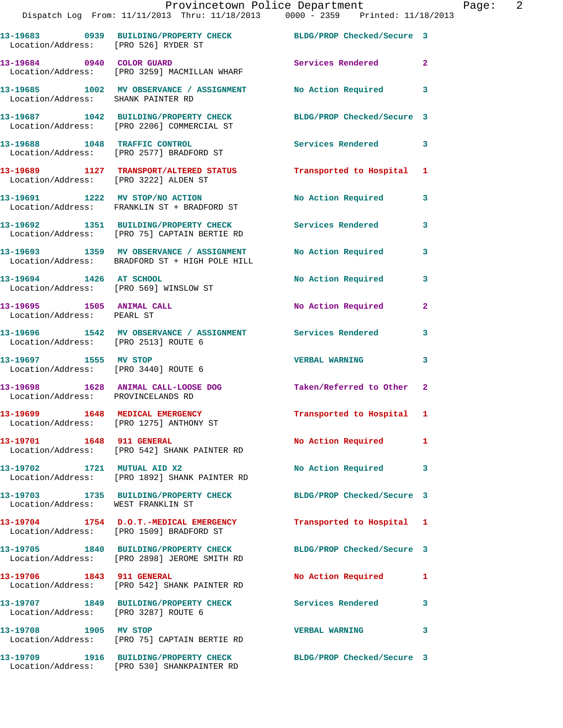|                                                         | Provincetown Police Department<br>Dispatch Log From: 11/11/2013 Thru: 11/18/2013 0000 - 2359 Printed: 11/18/2013 |                            |                |
|---------------------------------------------------------|------------------------------------------------------------------------------------------------------------------|----------------------------|----------------|
|                                                         |                                                                                                                  |                            |                |
| Location/Address: [PRO 526] RYDER ST                    | 13-19683 0939 BUILDING/PROPERTY CHECK BLDG/PROP Checked/Secure 3                                                 |                            |                |
| 13-19684 0940 COLOR GUARD                               | Location/Address: [PRO 3259] MACMILLAN WHARF                                                                     | Services Rendered          | $\overline{2}$ |
| Location/Address: SHANK PAINTER RD                      | 13-19685 1002 MV OBSERVANCE / ASSIGNMENT                                                                         | <b>No Action Required</b>  | 3              |
|                                                         | 13-19687 1042 BUILDING/PROPERTY CHECK BLDG/PROP Checked/Secure 3<br>Location/Address: [PRO 2206] COMMERCIAL ST   |                            |                |
|                                                         | 13-19688 1048 TRAFFIC CONTROL<br>Location/Address: [PRO 2577] BRADFORD ST                                        | <b>Services Rendered</b>   | 3              |
|                                                         | 13-19689 1127 TRANSPORT/ALTERED STATUS Transported to Hospital Location/Address: [PRO 3222] ALDEN ST             |                            | 1              |
|                                                         | 13-19691 1222 MV STOP/NO ACTION<br>Location/Address: FRANKLIN ST + BRADFORD ST                                   | No Action Required         | 3              |
|                                                         | 13-19692 1351 BUILDING/PROPERTY CHECK Services Rendered<br>Location/Address: [PRO 75] CAPTAIN BERTIE RD          |                            | 3              |
|                                                         | 13-19693 1359 MV OBSERVANCE / ASSIGNMENT<br>Location/Address: BRADFORD ST + HIGH POLE HILL                       | <b>No Action Required</b>  | 3              |
| 13-19694 1426 AT SCHOOL                                 | Location/Address: [PRO 569] WINSLOW ST                                                                           | No Action Required         | 3              |
| 13-19695 1505 ANIMAL CALL<br>Location/Address: PEARL ST |                                                                                                                  | No Action Required         | $\overline{a}$ |
| Location/Address: [PRO 2513] ROUTE 6                    | 13-19696 1542 MV OBSERVANCE / ASSIGNMENT Services Rendered                                                       |                            | 3              |
| 13-19697 1555 MV STOP                                   | Location/Address: [PRO 3440] ROUTE 6                                                                             | <b>VERBAL WARNING</b>      | 3              |
| Location/Address: PROVINCELANDS RD                      | 13-19698 1628 ANIMAL CALL-LOOSE DOG                                                                              | Taken/Referred to Other 2  |                |
|                                                         | 1648 MEDICAL EMERGENCY<br>Location/Address: [PRO 1275] ANTHONY ST                                                | Transported to Hospital    | 1              |
| 13-19701 1648 911 GENERAL<br>Location/Address:          | [PRO 542] SHANK PAINTER RD                                                                                       | No Action Required         | 1              |
| 13-19702<br>Location/Address:                           | 1721 MUTUAL AID X2<br>[PRO 1892] SHANK PAINTER RD                                                                | No Action Required         | 3              |
| 13-19703<br>Location/Address:                           | 1735 BUILDING/PROPERTY CHECK<br>WEST FRANKLIN ST                                                                 | BLDG/PROP Checked/Secure 3 |                |
| 13-19704                                                | 1754 D.O.T.-MEDICAL EMERGENCY                                                                                    | Transported to Hospital    | 1              |

Location/Address: [PRO 2898] JEROME SMITH RD

Location/Address: [PRO 542] SHANK PAINTER RD

Location/Address: [PRO 3287] ROUTE 6

Location/Address: [PRO 1509] BRADFORD ST

**13-19705 1840 BUILDING/PROPERTY CHECK BLDG/PROP Checked/Secure 3** 

13-19706 1843 911 GENERAL No Action Required 1

**13-19707 1849 BUILDING/PROPERTY CHECK Services Rendered 3** 

**13-19708 1905 MV STOP VERBAL WARNING 3**  Location/Address: [PRO 75] CAPTAIN BERTIE RD

**13-19709 1916 BUILDING/PROPERTY CHECK BLDG/PROP Checked/Secure 3**  Location/Address: [PRO 530] SHANKPAINTER RD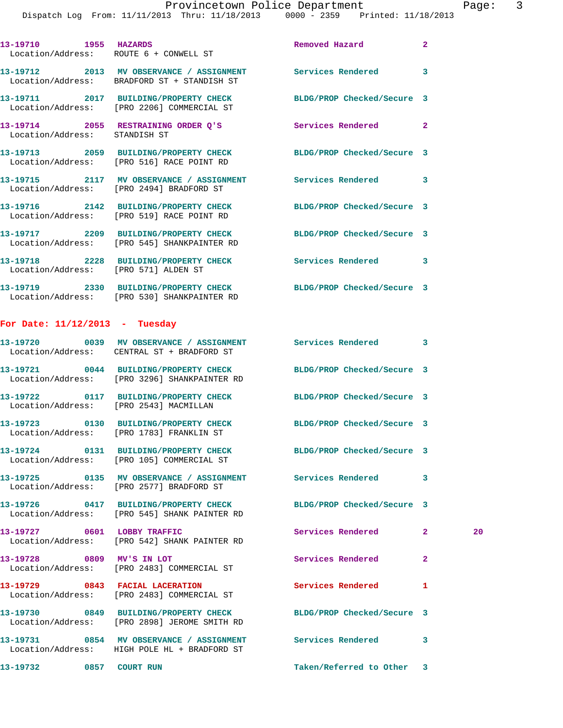|                                      | 13-19710 1955 HAZARDS<br>Location/Address: ROUTE 6 + CONWELL ST                                                 | Removed Hazard             | $\mathbf{2}$       |
|--------------------------------------|-----------------------------------------------------------------------------------------------------------------|----------------------------|--------------------|
|                                      | 13-19712 2013 MV OBSERVANCE / ASSIGNMENT Services Rendered<br>Location/Address: BRADFORD ST + STANDISH ST       |                            | 3                  |
|                                      | 13-19711 2017 BUILDING/PROPERTY CHECK BLDG/PROP Checked/Secure 3<br>Location/Address: [PRO 2206] COMMERCIAL ST  |                            |                    |
| Location/Address: STANDISH ST        | 13-19714 2055 RESTRAINING ORDER Q'S                                                                             | Services Rendered          | $\mathbf{2}$       |
|                                      | 13-19713 2059 BUILDING/PROPERTY CHECK BLDG/PROP Checked/Secure 3<br>Location/Address: [PRO 516] RACE POINT RD   |                            |                    |
|                                      | 13-19715 2117 MV OBSERVANCE / ASSIGNMENT Services Rendered<br>Location/Address: [PRO 2494] BRADFORD ST          |                            | 3                  |
|                                      | 13-19716 2142 BUILDING/PROPERTY CHECK BLDG/PROP Checked/Secure 3<br>Location/Address: [PRO 519] RACE POINT RD   |                            |                    |
|                                      | 13-19717 2209 BUILDING/PROPERTY CHECK BLDG/PROP Checked/Secure 3<br>Location/Address: [PRO 545] SHANKPAINTER RD |                            |                    |
| Location/Address: [PRO 571] ALDEN ST | 13-19718 2228 BUILDING/PROPERTY CHECK Services Rendered                                                         |                            | 3                  |
|                                      | 13-19719 2330 BUILDING/PROPERTY CHECK<br>Location/Address: [PRO 530] SHANKPAINTER RD                            | BLDG/PROP Checked/Secure 3 |                    |
| For Date: $11/12/2013$ - Tuesday     |                                                                                                                 |                            |                    |
|                                      | 13-19720 0039 MV OBSERVANCE / ASSIGNMENT Services Rendered<br>Location/Address: CENTRAL ST + BRADFORD ST        |                            | 3                  |
|                                      | 13-19721 0044 BUILDING/PROPERTY CHECK<br>Location/Address: [PRO 3296] SHANKPAINTER RD                           | BLDG/PROP Checked/Secure 3 |                    |
|                                      | 13-19722 0117 BUILDING/PROPERTY CHECK<br>Location/Address: [PRO 2543] MACMILLAN                                 | BLDG/PROP Checked/Secure 3 |                    |
| Location/Address:                    | 13-19723 0130 BUILDING/PROPERTY CHECK BLDG/PROP Checked/Secure 3<br>[PRO 1783] FRANKLIN ST                      |                            |                    |
|                                      | 13-19724 0131 BUILDING/PROPERTY CHECK<br>Location/Address: [PRO 105] COMMERCIAL ST                              | BLDG/PROP Checked/Secure 3 |                    |
|                                      | Location/Address: [PRO 2577] BRADFORD ST                                                                        | <b>Services Rendered</b>   | 3                  |
|                                      | 13-19726 0417 BUILDING/PROPERTY CHECK<br>Location/Address: [PRO 545] SHANK PAINTER RD                           | BLDG/PROP Checked/Secure 3 |                    |
| 13-19727                             | 0601 LOBBY TRAFFIC                                                                                              | Services Rendered          | 20<br>$\mathbf{2}$ |

Location/Address: [PRO 542] SHANK PAINTER RD

**13-19728 0809 MV'S IN LOT Services Rendered 2**  Location/Address: [PRO 2483] COMMERCIAL ST

**13-19729 0843 FACIAL LACERATION Services Rendered 1**  Location/Address: [PRO 2483] COMMERCIAL ST

**13-19730 0849 BUILDING/PROPERTY CHECK BLDG/PROP Checked/Secure 3**  Location/Address: [PRO 2898] JEROME SMITH RD

**13-19731 0854 MV OBSERVANCE / ASSIGNMENT Services Rendered 3**  Location/Address: HIGH POLE HL + BRADFORD ST

**13-19732 0857 COURT RUN Taken/Referred to Other 3**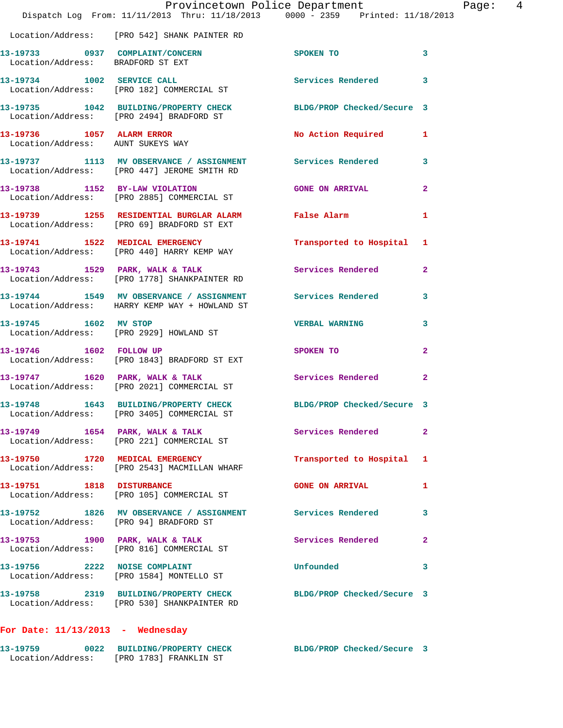|                                        | Provincetown Police Department<br>Dispatch Log From: 11/11/2013 Thru: 11/18/2013 0000 - 2359 Printed: 11/18/2013 |                            | Page: 4                 |
|----------------------------------------|------------------------------------------------------------------------------------------------------------------|----------------------------|-------------------------|
|                                        | Location/Address: [PRO 542] SHANK PAINTER RD                                                                     |                            |                         |
| Location/Address: BRADFORD ST EXT      | 13-19733 0937 COMPLAINT/CONCERN SPOKEN TO                                                                        |                            | 3                       |
|                                        | 13-19734 1002 SERVICE CALL<br>Location/Address: [PRO 182] COMMERCIAL ST                                          | Services Rendered 3        |                         |
|                                        | 13-19735 1042 BUILDING/PROPERTY CHECK BLDG/PROP Checked/Secure 3<br>Location/Address: [PRO 2494] BRADFORD ST     |                            |                         |
|                                        | 13-19736 1057 ALARM ERROR<br>Location/Address: AUNT SUKEYS WAY                                                   | No Action Required 1       |                         |
|                                        | 13-19737 1113 MV OBSERVANCE / ASSIGNMENT Services Rendered 3<br>Location/Address: [PRO 447] JEROME SMITH RD      |                            |                         |
|                                        | 13-19738 1152 BY-LAW VIOLATION GONE ON ARRIVAL<br>Location/Address: [PRO 2885] COMMERCIAL ST                     |                            | $\mathbf{2}$            |
|                                        |                                                                                                                  |                            | 1                       |
|                                        | 13-19741 1522 MEDICAL EMERGENCY<br>Location/Address: [PRO 440] HARRY KEMP WAY                                    | Transported to Hospital 1  |                         |
|                                        | 13-19743 1529 PARK, WALK & TALK 1998 Services Rendered 2<br>Location/Address: [PRO 1778] SHANKPAINTER RD         |                            |                         |
|                                        | 13-19744 1549 MV OBSERVANCE / ASSIGNMENT Services Rendered<br>Location/Address: HARRY KEMP WAY + HOWLAND ST      |                            | $\overline{\mathbf{3}}$ |
| 13-19745 1602 MV STOP                  | Location/Address: [PRO 2929] HOWLAND ST                                                                          | <b>VERBAL WARNING 3</b>    |                         |
|                                        | 13-19746 1602 FOLLOW UP<br>Location/Address: [PRO 1843] BRADFORD ST EXT                                          | SPOKEN TO                  | 2                       |
|                                        | 13-19747 1620 PARK, WALK & TALK 1999 Services Rendered 2<br>Location/Address: [PRO 2021] COMMERCIAL ST           |                            |                         |
| 13-19748                               | 1643 BUILDING/PROPERTY CHECK<br>Location/Address: [PRO 3405] COMMERCIAL ST                                       | BLDG/PROP Checked/Secure 3 |                         |
|                                        | 13-19749 1654 PARK, WALK & TALK<br>Location/Address: [PRO 221] COMMERCIAL ST                                     | Services Rendered          | $\mathbf{2}$            |
|                                        | 13-19750 1720 MEDICAL EMERGENCY<br>Location/Address: [PRO 2543] MACMILLAN WHARF                                  | Transported to Hospital    | 1                       |
|                                        | 13-19751 1818 DISTURBANCE<br>Location/Address: [PRO 105] COMMERCIAL ST                                           | <b>GONE ON ARRIVAL</b>     | 1                       |
| Location/Address: [PRO 94] BRADFORD ST | 13-19752 1826 MV OBSERVANCE / ASSIGNMENT Services Rendered                                                       |                            | 3                       |
|                                        | 13-19753 1900 PARK, WALK & TALK<br>Location/Address: [PRO 816] COMMERCIAL ST                                     | Services Rendered          | $\overline{a}$          |
|                                        | 13-19756 2222 NOISE COMPLAINT<br>Location/Address: [PRO 1584] MONTELLO ST                                        | Unfounded                  | 3                       |
|                                        | 13-19758 2319 BUILDING/PROPERTY CHECK BLDG/PROP Checked/Secure 3<br>Location/Address: [PRO 530] SHANKPAINTER RD  |                            |                         |
|                                        |                                                                                                                  |                            |                         |

## **For Date: 11/13/2013 - Wednesday**

| 13-19759          | 0022 BUILDING/PROPERTY CHECK | BLDG/PROP Checked/Secure 3 |  |
|-------------------|------------------------------|----------------------------|--|
| Location/Address: | [PRO 1783] FRANKLIN ST       |                            |  |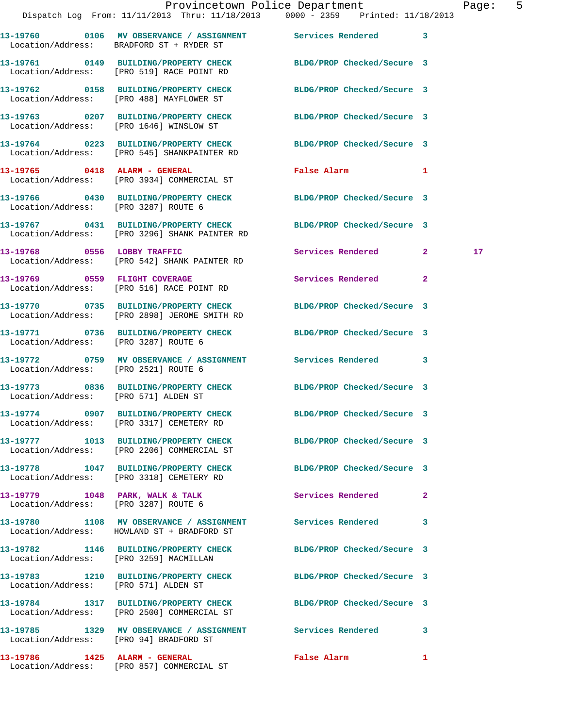|                                        |                                                                                   | Provincetown Police Department                                                                                  | Page: 5         |  |
|----------------------------------------|-----------------------------------------------------------------------------------|-----------------------------------------------------------------------------------------------------------------|-----------------|--|
|                                        |                                                                                   | Dispatch Log From: 11/11/2013 Thru: 11/18/2013 0000 - 2359 Printed: 11/18/2013                                  |                 |  |
|                                        | Location/Address: BRADFORD ST + RYDER ST                                          |                                                                                                                 |                 |  |
|                                        | Location/Address: [PRO 519] RACE POINT RD                                         | 13-19761 0149 BUILDING/PROPERTY CHECK BLDG/PROP Checked/Secure 3                                                |                 |  |
|                                        |                                                                                   | 13-19762 0158 BUILDING/PROPERTY CHECK BLDG/PROP Checked/Secure 3<br>Location/Address: [PRO 488] MAYFLOWER ST    |                 |  |
|                                        | Location/Address: [PRO 1646] WINSLOW ST                                           | 13-19763 0207 BUILDING/PROPERTY CHECK BLDG/PROP Checked/Secure 3                                                |                 |  |
|                                        |                                                                                   | 13-19764 0223 BUILDING/PROPERTY CHECK BLDG/PROP Checked/Secure 3<br>Location/Address: [PRO 545] SHANKPAINTER RD |                 |  |
|                                        | 13-19765 0418 ALARM - GENERAL<br>Location/Address: [PRO 3934] COMMERCIAL ST       | <b>False Alarm</b><br>$\mathbf{1}$                                                                              |                 |  |
| Location/Address: [PRO 3287] ROUTE 6   |                                                                                   | 13-19766 0430 BUILDING/PROPERTY CHECK BLDG/PROP Checked/Secure 3                                                |                 |  |
|                                        | Location/Address: [PRO 3296] SHANK PAINTER RD                                     | 13-19767 0431 BUILDING/PROPERTY CHECK BLDG/PROP Checked/Secure 3                                                |                 |  |
|                                        | 13-19768 0556 LOBBY TRAFFIC<br>Location/Address: [PRO 542] SHANK PAINTER RD       | Services Rendered 2                                                                                             | 17 <sub>2</sub> |  |
|                                        | 13-19769 0559 FLIGHT COVERAGE<br>Location/Address: [PRO 516] RACE POINT RD        | Services Rendered<br>$\overline{2}$                                                                             |                 |  |
|                                        | Location/Address: [PRO 2898] JEROME SMITH RD                                      | 13-19770 0735 BUILDING/PROPERTY CHECK BLDG/PROP Checked/Secure 3                                                |                 |  |
| Location/Address: [PRO 3287] ROUTE 6   |                                                                                   | 13-19771 0736 BUILDING/PROPERTY CHECK BLDG/PROP Checked/Secure 3                                                |                 |  |
| Location/Address: [PRO 2521] ROUTE 6   |                                                                                   | 13-19772 0759 MV OBSERVANCE / ASSIGNMENT Services Rendered 3                                                    |                 |  |
|                                        |                                                                                   | 13-19773 0836 BUILDING/PROPERTY CHECK BLDG/PROP Checked/Secure 3<br>Location/Address: [PRO 571] ALDEN ST        |                 |  |
|                                        | 13-19774 0907 BUILDING/PROPERTY CHECK<br>Location/Address: [PRO 3317] CEMETERY RD | BLDG/PROP Checked/Secure 3                                                                                      |                 |  |
|                                        | Location/Address: [PRO 2206] COMMERCIAL ST                                        | 13-19777 1013 BUILDING/PROPERTY CHECK BLDG/PROP Checked/Secure 3                                                |                 |  |
|                                        | 13-19778 1047 BUILDING/PROPERTY CHECK<br>Location/Address: [PRO 3318] CEMETERY RD | BLDG/PROP Checked/Secure 3                                                                                      |                 |  |
|                                        | 13-19779 1048 PARK, WALK & TALK<br>Location/Address: [PRO 3287] ROUTE 6           | Services Rendered<br>$\mathbf{2}$                                                                               |                 |  |
|                                        | Location/Address: HOWLAND ST + BRADFORD ST                                        | 13-19780 1108 MV OBSERVANCE / ASSIGNMENT Services Rendered 3                                                    |                 |  |
| Location/Address: [PRO 3259] MACMILLAN |                                                                                   | 13-19782 1146 BUILDING/PROPERTY CHECK BLDG/PROP Checked/Secure 3                                                |                 |  |
| Location/Address: [PRO 571] ALDEN ST   |                                                                                   | 13-19783 1210 BUILDING/PROPERTY CHECK BLDG/PROP Checked/Secure 3                                                |                 |  |
|                                        | Location/Address: [PRO 2500] COMMERCIAL ST                                        | 13-19784 1317 BUILDING/PROPERTY CHECK BLDG/PROP Checked/Secure 3                                                |                 |  |
| Location/Address: [PRO 94] BRADFORD ST |                                                                                   | 13-19785 1329 MV OBSERVANCE / ASSIGNMENT Services Rendered 3                                                    |                 |  |
|                                        |                                                                                   | False Alarm <b>Exercise Service Service</b><br>$\mathbf{1}$                                                     |                 |  |

Location/Address: [PRO 857] COMMERCIAL ST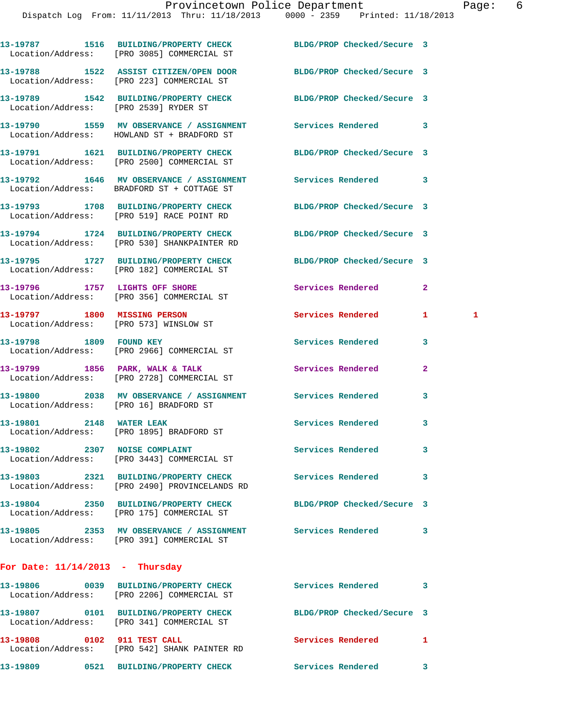|                                   | 13-19787 1516 BUILDING/PROPERTY CHECK<br>Location/Address: [PRO 3085] COMMERCIAL ST                            | BLDG/PROP Checked/Secure 3 |                   |
|-----------------------------------|----------------------------------------------------------------------------------------------------------------|----------------------------|-------------------|
|                                   | 13-19788 1522 ASSIST CITIZEN/OPEN DOOR BLDG/PROP Checked/Secure 3<br>Location/Address: [PRO 223] COMMERCIAL ST |                            |                   |
|                                   | 13-19789 1542 BUILDING/PROPERTY CHECK BLDG/PROP Checked/Secure 3<br>Location/Address: [PRO 2539] RYDER ST      |                            |                   |
|                                   | 13-19790 1559 MV OBSERVANCE / ASSIGNMENT Services Rendered<br>Location/Address: HOWLAND ST + BRADFORD ST       |                            | 3                 |
|                                   | 13-19791 1621 BUILDING/PROPERTY CHECK BLDG/PROP Checked/Secure 3<br>Location/Address: [PRO 2500] COMMERCIAL ST |                            |                   |
|                                   | 13-19792 1646 MV OBSERVANCE / ASSIGNMENT Services Rendered<br>Location/Address: BRADFORD ST + COTTAGE ST       |                            | 3                 |
|                                   | 13-19793 1708 BUILDING/PROPERTY CHECK BLDG/PROP Checked/Secure 3<br>Location/Address: [PRO 519] RACE POINT RD  |                            |                   |
|                                   | 13-19794 1724 BUILDING/PROPERTY CHECK<br>Location/Address: [PRO 530] SHANKPAINTER RD                           | BLDG/PROP Checked/Secure 3 |                   |
|                                   | 13-19795 1727 BUILDING/PROPERTY CHECK BLDG/PROP Checked/Secure 3<br>Location/Address: [PRO 182] COMMERCIAL ST  |                            |                   |
|                                   | 13-19796 1757 LIGHTS OFF SHORE<br>Location/Address: [PRO 356] COMMERCIAL ST                                    | <b>Services Rendered</b>   | $\mathbf{2}$      |
|                                   | 13-19797 1800 MISSING PERSON<br>Location/Address: [PRO 573] WINSLOW ST                                         | Services Rendered          | 1<br>$\mathbf{1}$ |
|                                   | 13-19798 1809 FOUND KEY<br>Location/Address: [PRO 2966] COMMERCIAL ST                                          | Services Rendered          | 3                 |
|                                   | 13-19799 1856 PARK, WALK & TALK<br>Location/Address: [PRO 2728] COMMERCIAL ST                                  | Services Rendered          | $\mathbf{2}$      |
|                                   | 13-19800 2038 MV OBSERVANCE / ASSIGNMENT Services Rendered<br>Location/Address: [PRO 16] BRADFORD ST           |                            | 3                 |
|                                   | 13-19801 2148 WATER LEAK<br>Location/Address: [PRO 1895] BRADFORD ST                                           | <b>Services Rendered</b>   | 3                 |
| 13-19802 2307 NOISE COMPLAINT     | Location/Address: [PRO 3443] COMMERCIAL ST                                                                     | <b>Services Rendered</b>   | 3                 |
|                                   | 13-19803 2321 BUILDING/PROPERTY CHECK<br>Location/Address: [PRO 2490] PROVINCELANDS RD                         | Services Rendered          | 3                 |
|                                   | 13-19804 2350 BUILDING/PROPERTY CHECK<br>Location/Address: [PRO 175] COMMERCIAL ST                             | BLDG/PROP Checked/Secure 3 |                   |
|                                   | 13-19805 2353 MV OBSERVANCE / ASSIGNMENT Services Rendered<br>Location/Address: [PRO 391] COMMERCIAL ST        |                            | 3                 |
| For Date: $11/14/2013$ - Thursday |                                                                                                                |                            |                   |
|                                   | 13-19806 0039 BUILDING/PROPERTY CHECK<br>Location/Address: [PRO 2206] COMMERCIAL ST                            | Services Rendered          | 3                 |
|                                   | 13-19807 0101 BUILDING/PROPERTY CHECK<br>Location/Address: [PRO 341] COMMERCIAL ST                             | BLDG/PROP Checked/Secure 3 |                   |
|                                   |                                                                                                                | Services Rendered 1        |                   |

Location/Address: [PRO 542] SHANK PAINTER RD

**13-19809 0521 BUILDING/PROPERTY CHECK Services Rendered 3**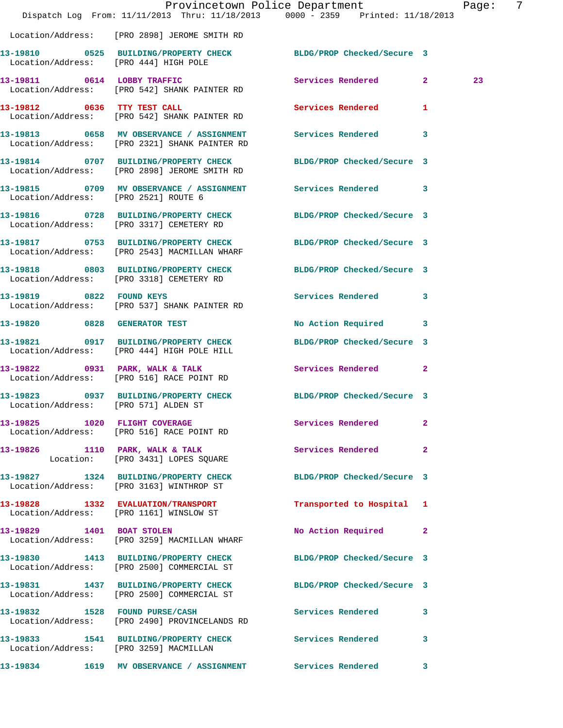|                                       | Dispatch Log From: 11/11/2013 Thru: 11/18/2013 0000 - 2359 Printed: 11/18/2013                                    | Provincetown Police Department | Page: | -7 |
|---------------------------------------|-------------------------------------------------------------------------------------------------------------------|--------------------------------|-------|----|
|                                       | Location/Address: [PRO 2898] JEROME SMITH RD                                                                      |                                |       |    |
| Location/Address: [PRO 444] HIGH POLE | 13-19810 0525 BUILDING/PROPERTY CHECK BLDG/PROP Checked/Secure 3                                                  |                                |       |    |
|                                       | 13-19811 0614 LOBBY TRAFFIC<br>Location/Address: [PRO 542] SHANK PAINTER RD                                       | Services Rendered 2            | 23    |    |
|                                       | 13-19812 0636 TTY TEST CALL<br>Location/Address: [PRO 542] SHANK PAINTER RD                                       | Services Rendered 1            |       |    |
|                                       | 13-19813 0658 MV OBSERVANCE / ASSIGNMENT Services Rendered 3<br>Location/Address: [PRO 2321] SHANK PAINTER RD     |                                |       |    |
|                                       | 13-19814  0707 BUILDING/PROPERTY CHECK BLDG/PROP Checked/Secure 3<br>Location/Address: [PRO 2898] JEROME SMITH RD |                                |       |    |
| Location/Address: [PRO 2521] ROUTE 6  | 13-19815 0709 MV OBSERVANCE / ASSIGNMENT Services Rendered 3                                                      |                                |       |    |
|                                       | 13-19816 0728 BUILDING/PROPERTY CHECK BLDG/PROP Checked/Secure 3<br>Location/Address: [PRO 3317] CEMETERY RD      |                                |       |    |
|                                       | 13-19817 0753 BUILDING/PROPERTY CHECK BLDG/PROP Checked/Secure 3<br>Location/Address: [PRO 2543] MACMILLAN WHARF  |                                |       |    |
|                                       | 13-19818 0803 BUILDING/PROPERTY CHECK BLDG/PROP Checked/Secure 3<br>Location/Address: [PRO 3318] CEMETERY RD      |                                |       |    |
|                                       | 13-19819 0822 FOUND KEYS<br>Location/Address: [PRO 537] SHANK PAINTER RD                                          | Services Rendered 3            |       |    |
|                                       | 13-19820 0828 GENERATOR TEST                                                                                      | No Action Required 3           |       |    |
|                                       | 13-19821 0917 BUILDING/PROPERTY CHECK BLDG/PROP Checked/Secure 3<br>Location/Address: [PRO 444] HIGH POLE HILL    |                                |       |    |
|                                       | 13-19822 0931 PARK, WALK & TALK<br>Location/Address: [PRO 516] RACE POINT RD                                      | Services Rendered 2            |       |    |
| Location/Address: [PRO 571] ALDEN ST  | 13-19823 0937 BUILDING/PROPERTY CHECK BLDG/PROP Checked/Secure 3                                                  |                                |       |    |
|                                       | 13-19825 1020 FLIGHT COVERAGE<br>Location/Address: [PRO 516] RACE POINT RD                                        | Services Rendered 2            |       |    |
|                                       | 13-19826 1110 PARK, WALK & TALK<br>Location: [PRO 3431] LOPES SQUARE                                              | Services Rendered 2            |       |    |
|                                       | 13-19827 1324 BUILDING/PROPERTY CHECK BLDG/PROP Checked/Secure 3<br>Location/Address: [PRO 3163] WINTHROP ST      |                                |       |    |
|                                       | 13-19828 1332 EVALUATION/TRANSPORT<br>Location/Address: [PRO 1161] WINSLOW ST                                     | Transported to Hospital 1      |       |    |
|                                       | 13-19829 1401 BOAT STOLEN<br>Location/Address: [PRO 3259] MACMILLAN WHARF                                         | No Action Required 2           |       |    |
|                                       | 13-19830 1413 BUILDING/PROPERTY CHECK BLDG/PROP Checked/Secure 3<br>Location/Address: [PRO 2500] COMMERCIAL ST    |                                |       |    |
|                                       | 13-19831 1437 BUILDING/PROPERTY CHECK BLDG/PROP Checked/Secure 3<br>Location/Address: [PRO 2500] COMMERCIAL ST    |                                |       |    |
|                                       | 13-19832 1528 FOUND PURSE/CASH<br>Location/Address: [PRO 2490] PROVINCELANDS RD                                   | Services Rendered 3            |       |    |
|                                       | 13-19833 1541 BUILDING/PROPERTY CHECK Services Rendered 3<br>Location/Address: [PRO 3259] MACMILLAN               |                                |       |    |
|                                       | 13-19834 1619 MV OBSERVANCE / ASSIGNMENT Services Rendered 3                                                      |                                |       |    |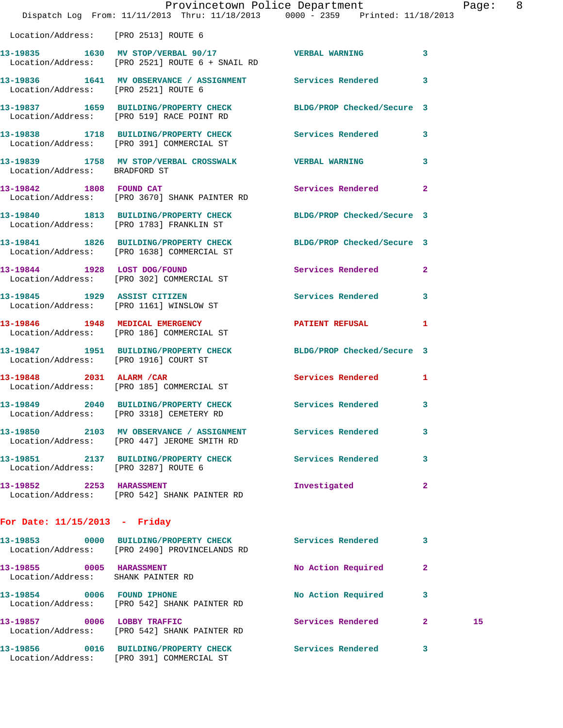|                                                                |                                                                                                                | Provincetown Police Department |                | Page: 8 |  |
|----------------------------------------------------------------|----------------------------------------------------------------------------------------------------------------|--------------------------------|----------------|---------|--|
|                                                                | Dispatch Log From: 11/11/2013 Thru: 11/18/2013 0000 - 2359 Printed: 11/18/2013                                 |                                |                |         |  |
| Location/Address: [PRO 2513] ROUTE 6                           |                                                                                                                |                                |                |         |  |
|                                                                | 13-19835 1630 MV STOP/VERBAL 90/17 7 VERBAL WARNING<br>Location/Address: [PRO 2521] ROUTE 6 + SNAIL RD         |                                | 3              |         |  |
| Location/Address: [PRO 2521] ROUTE 6                           | 13-19836 1641 MV OBSERVANCE / ASSIGNMENT Services Rendered                                                     |                                | 3              |         |  |
|                                                                | 13-19837 1659 BUILDING/PROPERTY CHECK BLDG/PROP Checked/Secure 3<br>Location/Address: [PRO 519] RACE POINT RD  |                                |                |         |  |
|                                                                | 13-19838 1718 BUILDING/PROPERTY CHECK Services Rendered<br>Location/Address: [PRO 391] COMMERCIAL ST           |                                | 3              |         |  |
| Location/Address: BRADFORD ST                                  | 13-19839 1758 MV STOP/VERBAL CROSSWALK WERBAL WARNING                                                          |                                | 3              |         |  |
|                                                                | 13-19842 1808 FOUND CAT<br>Location/Address: [PRO 3670] SHANK PAINTER RD                                       | <b>Services Rendered</b>       | $\mathbf{2}$   |         |  |
|                                                                | 13-19840 1813 BUILDING/PROPERTY CHECK BLDG/PROP Checked/Secure 3<br>Location/Address: [PRO 1783] FRANKLIN ST   |                                |                |         |  |
|                                                                | 13-19841 1826 BUILDING/PROPERTY CHECK BLDG/PROP Checked/Secure 3<br>Location/Address: [PRO 1638] COMMERCIAL ST |                                |                |         |  |
|                                                                | 13-19844 1928 LOST DOG/FOUND<br>Location/Address: [PRO 302] COMMERCIAL ST                                      | Services Rendered              | $\overline{2}$ |         |  |
|                                                                | 13-19845 1929 ASSIST CITIZEN<br>Location/Address: [PRO 1161] WINSLOW ST                                        | Services Rendered              | 3              |         |  |
|                                                                | 13-19846 1948 MEDICAL EMERGENCY<br>Location/Address: [PRO 186] COMMERCIAL ST                                   | PATIENT REFUSAL                | 1              |         |  |
|                                                                | 13-19847 1951 BUILDING/PROPERTY CHECK BLDG/PROP Checked/Secure 3<br>Location/Address: [PRO 1916] COURT ST      |                                |                |         |  |
|                                                                | 13-19848 2031 ALARM / CAR<br>Location/Address: [PRO 185] COMMERCIAL ST                                         | Services Rendered 1            |                |         |  |
|                                                                | 13-19849 2040 BUILDING/PROPERTY CHECK Services Rendered 3<br>Location/Address: [PRO 3318] CEMETERY RD          |                                |                |         |  |
|                                                                | 13-19850 2103 MV OBSERVANCE / ASSIGNMENT Services Rendered<br>Location/Address: [PRO 447] JEROME SMITH RD      |                                | 3              |         |  |
|                                                                | 13-19851 2137 BUILDING/PROPERTY CHECK Services Rendered<br>Location/Address: [PRO 3287] ROUTE 6                |                                | 3              |         |  |
| 13-19852 2253 HARASSMENT                                       | Location/Address: [PRO 542] SHANK PAINTER RD                                                                   | Investigated                   | 2              |         |  |
| For Date: $11/15/2013$ - Friday                                |                                                                                                                |                                |                |         |  |
|                                                                | 13-19853 0000 BUILDING/PROPERTY CHECK<br>Location/Address: [PRO 2490] PROVINCELANDS RD                         | Services Rendered              | 3              |         |  |
| 13-19855 0005 HARASSMENT<br>Location/Address: SHANK PAINTER RD |                                                                                                                | No Action Required             | 2              |         |  |
|                                                                | 13-19854 0006 FOUND IPHONE<br>Location/Address: [PRO 542] SHANK PAINTER RD                                     | No Action Required             | 3              |         |  |
|                                                                | 13-19857 0006 LOBBY TRAFFIC<br>Location/Address: [PRO 542] SHANK PAINTER RD                                    | Services Rendered              | $\mathbf{2}$   | 15      |  |

**13-19856 0016 BUILDING/PROPERTY CHECK Services Rendered 3** 

Location/Address: [PRO 391] COMMERCIAL ST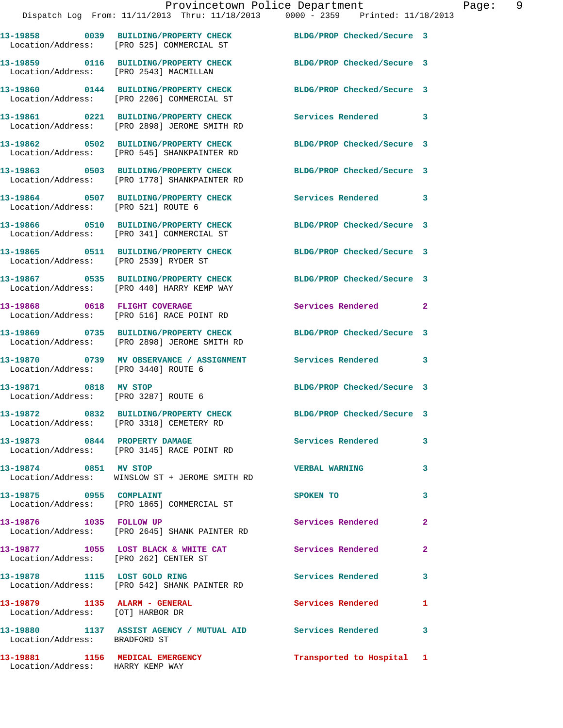|                                                                   | Provincetown Police Department<br>Dispatch Log From: 11/11/2013 Thru: 11/18/2013 0000 - 2359 Printed: 11/18/2013  |                            | Page: 9      |
|-------------------------------------------------------------------|-------------------------------------------------------------------------------------------------------------------|----------------------------|--------------|
|                                                                   | 13-19858 0039 BUILDING/PROPERTY CHECK BLDG/PROP Checked/Secure 3<br>Location/Address: [PRO 525] COMMERCIAL ST     |                            |              |
|                                                                   | 13-19859 0116 BUILDING/PROPERTY CHECK BLDG/PROP Checked/Secure 3<br>Location/Address: [PRO 2543] MACMILLAN        |                            |              |
|                                                                   | 13-19860 0144 BUILDING/PROPERTY CHECK BLDG/PROP Checked/Secure 3<br>Location/Address: [PRO 2206] COMMERCIAL ST    |                            |              |
|                                                                   | 13-19861 0221 BUILDING/PROPERTY CHECK Services Rendered 3<br>Location/Address: [PRO 2898] JEROME SMITH RD         |                            |              |
|                                                                   | 13-19862 0502 BUILDING/PROPERTY CHECK BLDG/PROP Checked/Secure 3<br>Location/Address: [PRO 545] SHANKPAINTER RD   |                            |              |
|                                                                   | 13-19863 0503 BUILDING/PROPERTY CHECK BLDG/PROP Checked/Secure 3<br>Location/Address: [PRO 1778] SHANKPAINTER RD  |                            |              |
| Location/Address: [PRO 521] ROUTE 6                               | 13-19864 0507 BUILDING/PROPERTY CHECK Services Rendered 3                                                         |                            |              |
|                                                                   | 13-19866 0510 BUILDING/PROPERTY CHECK BLDG/PROP Checked/Secure 3<br>Location/Address: [PRO 341] COMMERCIAL ST     |                            |              |
|                                                                   | 13-19865   0511   BUILDING/PROPERTY CHECK   BLDG/PROP Checked/Secure   3<br>Location/Address: [PRO 2539] RYDER ST |                            |              |
|                                                                   | 13-19867 0535 BUILDING/PROPERTY CHECK BLDG/PROP Checked/Secure 3<br>Location/Address: [PRO 440] HARRY KEMP WAY    |                            |              |
|                                                                   | 13-19868 0618 FLIGHT COVERAGE<br>Location/Address: [PRO 516] RACE POINT RD                                        | Services Rendered 2        |              |
|                                                                   | 13-19869 0735 BUILDING/PROPERTY CHECK BLDG/PROP Checked/Secure 3<br>Location/Address: [PRO 2898] JEROME SMITH RD  |                            |              |
| Location/Address: [PRO 3440] ROUTE 6                              | 13-19870 0739 MV OBSERVANCE / ASSIGNMENT Services Rendered 3                                                      |                            |              |
| 13-19871 0818 MV STOP<br>Location/Address: [PRO 3287] ROUTE 6     |                                                                                                                   | BLDG/PROP Checked/Secure 3 |              |
|                                                                   | 13-19872 0832 BUILDING/PROPERTY CHECK<br>Location/Address: [PRO 3318] CEMETERY RD                                 | BLDG/PROP Checked/Secure 3 |              |
|                                                                   | 13-19873 0844 PROPERTY DAMAGE<br>Location/Address: [PRO 3145] RACE POINT RD                                       | Services Rendered 3        |              |
| 13-19874 0851 MV STOP                                             | Location/Address: WINSLOW ST + JEROME SMITH RD                                                                    | <b>VERBAL WARNING</b>      | 3            |
| 13-19875 0955 COMPLAINT                                           | Location/Address: [PRO 1865] COMMERCIAL ST                                                                        | SPOKEN TO                  | 3            |
|                                                                   | 13-19876 1035 FOLLOW UP<br>Location/Address: [PRO 2645] SHANK PAINTER RD                                          | Services Rendered          | $\mathbf{2}$ |
| Location/Address: [PRO 262] CENTER ST                             | 13-19877 1055 LOST BLACK & WHITE CAT Services Rendered                                                            |                            | $\mathbf{2}$ |
|                                                                   | 13-19878 1115 LOST GOLD RING<br>Location/Address: [PRO 542] SHANK PAINTER RD                                      | Services Rendered          | $\mathbf{3}$ |
| 13-19879 1135 ALARM - GENERAL<br>Location/Address: [OT] HARBOR DR |                                                                                                                   | Services Rendered          | 1            |
| Location/Address: BRADFORD ST                                     | 13-19880 1137 ASSIST AGENCY / MUTUAL AID Services Rendered 3                                                      |                            |              |

**13-19881 1156 MEDICAL EMERGENCY Transported to Hospital 1** 

Location/Address: HARRY KEMP WAY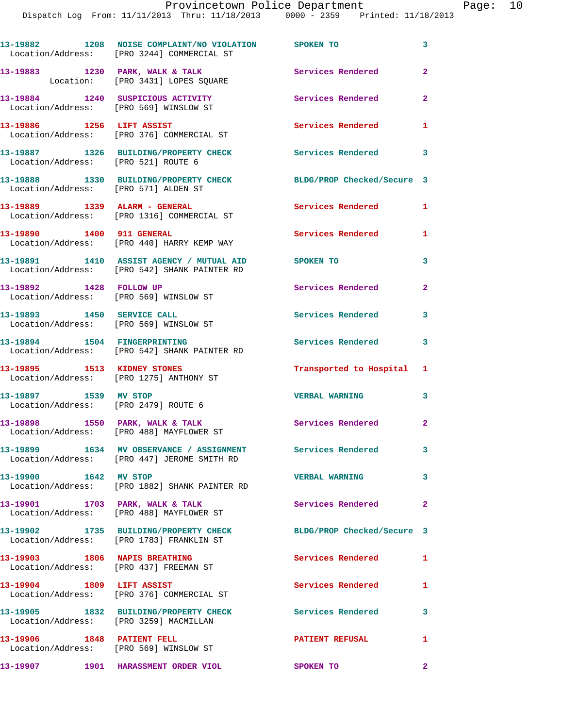|                                                                      | 13-19882 1208 NOISE COMPLAINT/NO VIOLATION SPOKEN TO<br>Location/Address: [PRO 3244] COMMERCIAL ST        |                            | 3                       |
|----------------------------------------------------------------------|-----------------------------------------------------------------------------------------------------------|----------------------------|-------------------------|
|                                                                      | 13-19883 1230 PARK, WALK & TALK<br>Location: [PRO 3431] LOPES SQUARE                                      | Services Rendered          | $\overline{2}$          |
|                                                                      | 13-19884 1240 SUSPICIOUS ACTIVITY<br>Location/Address: [PRO 569] WINSLOW ST                               | Services Rendered          | $\mathbf{2}$            |
| 13-19886 1256 LIFT ASSIST                                            | Location/Address: [PRO 376] COMMERCIAL ST                                                                 | Services Rendered          | $\mathbf{1}$            |
| Location/Address: [PRO 521] ROUTE 6                                  | 13-19887 1326 BUILDING/PROPERTY CHECK                                                                     | Services Rendered 3        |                         |
| Location/Address: [PRO 571] ALDEN ST                                 | 13-19888 1330 BUILDING/PROPERTY CHECK                                                                     | BLDG/PROP Checked/Secure 3 |                         |
|                                                                      | 13-19889    1339    ALARM - GENERAL<br>Location/Address: [PRO 1316] COMMERCIAL ST                         | <b>Services Rendered</b>   | $\mathbf{1}$            |
| 13-19890 1400 911 GENERAL                                            | Location/Address: [PRO 440] HARRY KEMP WAY                                                                | <b>Services Rendered</b> 1 |                         |
|                                                                      | 13-19891 1410 ASSIST AGENCY / MUTUAL AID SPOKEN TO<br>Location/Address: [PRO 542] SHANK PAINTER RD        |                            | 3                       |
| 13-19892 1428 FOLLOW UP                                              | Location/Address: [PRO 569] WINSLOW ST                                                                    | Services Rendered 2        |                         |
| 13-19893 1450 SERVICE CALL<br>Location/Address: [PRO 569] WINSLOW ST |                                                                                                           | <b>Services Rendered</b>   | 3                       |
| 13-19894 1504 FINGERPRINTING                                         | Location/Address: [PRO 542] SHANK PAINTER RD                                                              | Services Rendered 3        |                         |
|                                                                      | 13-19895 1513 KIDNEY STONES<br>Location/Address: [PRO 1275] ANTHONY ST                                    | Transported to Hospital 1  |                         |
| 13-19897 1539 MV STOP<br>Location/Address: [PRO 2479] ROUTE 6        |                                                                                                           | <b>VERBAL WARNING</b>      | $\overline{\mathbf{3}}$ |
|                                                                      | 13-19898 1550 PARK, WALK & TALK<br>Location/Address: [PRO 488] MAYFLOWER ST                               | Services Rendered 2        |                         |
|                                                                      | 13-19899 1634 MV OBSERVANCE / ASSIGNMENT Services Rendered<br>Location/Address: [PRO 447] JEROME SMITH RD |                            | 3                       |
| 13-19900 1642 MV STOP                                                | Location/Address: [PRO 1882] SHANK PAINTER RD                                                             | <b>VERBAL WARNING</b>      | 3                       |
| 13-19901 1703 PARK, WALK & TALK                                      | Location/Address: [PRO 488] MAYFLOWER ST                                                                  | Services Rendered          | $\mathbf{2}$            |
|                                                                      | 13-19902 1735 BUILDING/PROPERTY CHECK<br>Location/Address: [PRO 1783] FRANKLIN ST                         | BLDG/PROP Checked/Secure 3 |                         |
|                                                                      | 13-19903 1806 NAPIS BREATHING<br>Location/Address: [PRO 437] FREEMAN ST                                   | Services Rendered          | $\mathbf{1}$            |
|                                                                      | 13-19904 1809 LIFT ASSIST<br>Location/Address: [PRO 376] COMMERCIAL ST                                    | <b>Services Rendered</b>   | 1                       |
| Location/Address: [PRO 3259] MACMILLAN                               | 13-19905 1832 BUILDING/PROPERTY CHECK                                                                     | Services Rendered          | 3                       |
| 13-19906 1848 PATIENT FELL<br>Location/Address: [PRO 569] WINSLOW ST |                                                                                                           | <b>PATIENT REFUSAL</b>     | 1                       |
|                                                                      | 13-19907 1901 HARASSMENT ORDER VIOL                                                                       | <b>SPOKEN TO</b>           | $\mathbf{2}$            |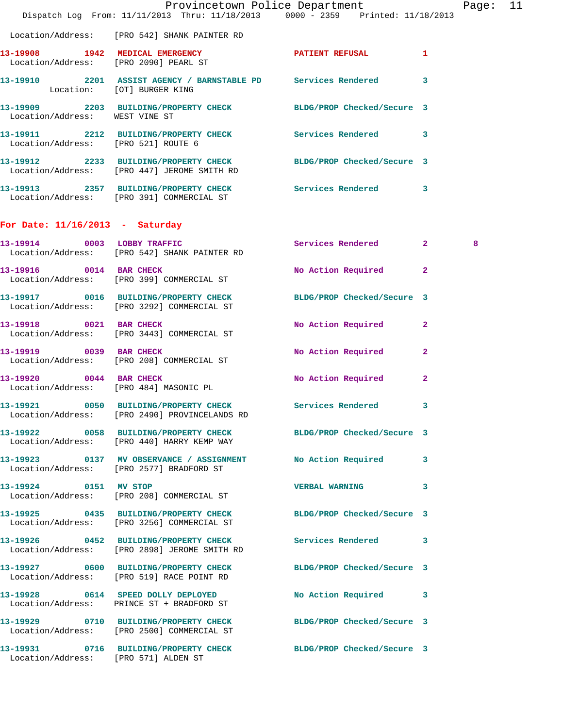|                                      | Dispatch Log From: 11/11/2013 Thru: 11/18/2013 0000 - 2359 Printed: 11/18/2013                                  | Provincetown Police Department |              | Page: 11 |  |
|--------------------------------------|-----------------------------------------------------------------------------------------------------------------|--------------------------------|--------------|----------|--|
|                                      | Location/Address: [PRO 542] SHANK PAINTER RD                                                                    |                                |              |          |  |
|                                      | 13-19908 1942 MEDICAL EMERGENCY PATIENT REFUSAL 1<br>Location/Address: [PRO 2090] PEARL ST                      |                                |              |          |  |
| Location: [OT] BURGER KING           | 13-19910 2201 ASSIST AGENCY / BARNSTABLE PD Services Rendered 3                                                 |                                |              |          |  |
| Location/Address: WEST VINE ST       | 13-19909 2203 BUILDING/PROPERTY CHECK BLDG/PROP Checked/Secure 3                                                |                                |              |          |  |
|                                      | 13-19911 2212 BUILDING/PROPERTY CHECK Services Rendered 3<br>Location/Address: [PRO 521] ROUTE 6                |                                |              |          |  |
|                                      | 13-19912 2233 BUILDING/PROPERTY CHECK BLDG/PROP Checked/Secure 3<br>Location/Address: [PRO 447] JEROME SMITH RD |                                |              |          |  |
|                                      | 13-19913 2357 BUILDING/PROPERTY CHECK Services Rendered 3<br>Location/Address: [PRO 391] COMMERCIAL ST          |                                |              |          |  |
| For Date: $11/16/2013$ - Saturday    |                                                                                                                 |                                |              |          |  |
|                                      | 13-19914 0003 LOBBY TRAFFIC<br>Location/Address: [PRO 542] SHANK PAINTER RD                                     | Services Rendered 2            |              | 8        |  |
| 13-19916 0014 BAR CHECK              | Location/Address: [PRO 399] COMMERCIAL ST                                                                       | No Action Required             | $\mathbf{2}$ |          |  |
|                                      | 13-19917 0016 BUILDING/PROPERTY CHECK BLDG/PROP Checked/Secure 3<br>Location/Address: [PRO 3292] COMMERCIAL ST  |                                |              |          |  |
|                                      | 13-19918 0021 BAR CHECK<br>Location/Address: [PRO 3443] COMMERCIAL ST                                           | No Action Required 2           |              |          |  |
| 13-19919 0039 BAR CHECK              | Location/Address: [PRO 208] COMMERCIAL ST                                                                       | No Action Required 2           |              |          |  |
| 13-19920 0044 BAR CHECK              | Location/Address: [PRO 484] MASONIC PL                                                                          | No Action Required             | $\mathbf{2}$ |          |  |
|                                      | 13-19921 0050 BUILDING/PROPERTY CHECK Services Rendered 3<br>Location/Address: [PRO 2490] PROVINCELANDS RD      |                                |              |          |  |
|                                      | 13-19922 0058 BUILDING/PROPERTY CHECK BLDG/PROP Checked/Secure 3<br>Location/Address: [PRO 440] HARRY KEMP WAY  |                                |              |          |  |
|                                      | 13-19923 0137 MV OBSERVANCE / ASSIGNMENT<br>Location/Address: [PRO 2577] BRADFORD ST                            | No Action Required 3           |              |          |  |
| 13-19924 0151 MV STOP                | Location/Address: [PRO 208] COMMERCIAL ST                                                                       | <b>VERBAL WARNING</b>          | 3            |          |  |
|                                      | 13-19925 0435 BUILDING/PROPERTY CHECK BLDG/PROP Checked/Secure 3<br>Location/Address: [PRO 3256] COMMERCIAL ST  |                                |              |          |  |
|                                      | 13-19926 0452 BUILDING/PROPERTY CHECK<br>Location/Address: [PRO 2898] JEROME SMITH RD                           | Services Rendered 3            |              |          |  |
|                                      | 13-19927 0600 BUILDING/PROPERTY CHECK BLDG/PROP Checked/Secure 3<br>Location/Address: [PRO 519] RACE POINT RD   |                                |              |          |  |
|                                      | 13-19928 0614 SPEED DOLLY DEPLOYED<br>Location/Address: PRINCE ST + BRADFORD ST                                 | No Action Required 3           |              |          |  |
|                                      | 13-19929 0710 BUILDING/PROPERTY CHECK BLDG/PROP Checked/Secure 3<br>Location/Address: [PRO 2500] COMMERCIAL ST  |                                |              |          |  |
| Location/Address: [PRO 571] ALDEN ST | 13-19931 0716 BUILDING/PROPERTY CHECK BLDG/PROP Checked/Secure 3                                                |                                |              |          |  |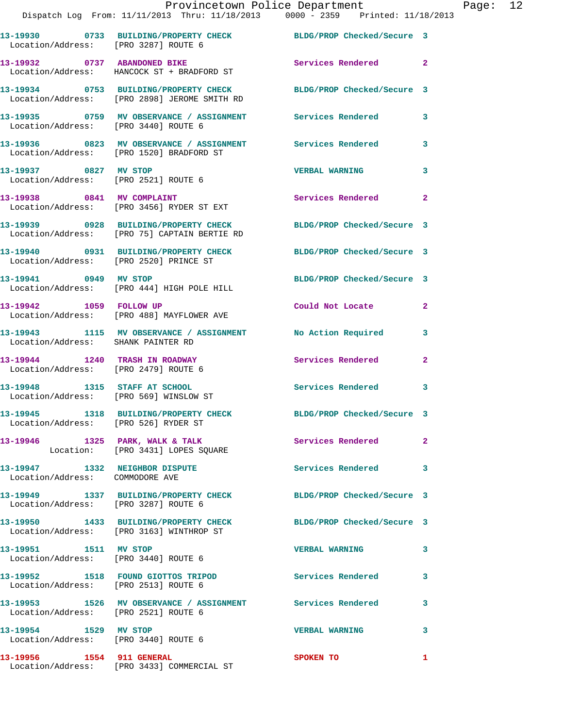|                                                                         | Provincetown Police Department<br>Dispatch Log From: 11/11/2013 Thru: 11/18/2013 0000 - 2359 Printed: 11/18/2013 |                            |                |
|-------------------------------------------------------------------------|------------------------------------------------------------------------------------------------------------------|----------------------------|----------------|
| Location/Address: [PRO 3287] ROUTE 6                                    | 13-19930 0733 BUILDING/PROPERTY CHECK BLDG/PROP Checked/Secure 3                                                 |                            |                |
|                                                                         | 13-19932 0737 ABANDONED BIKE<br>Location/Address: HANCOCK ST + BRADFORD ST                                       | Services Rendered          | $\overline{a}$ |
|                                                                         | 13-19934 0753 BUILDING/PROPERTY CHECK BLDG/PROP Checked/Secure 3<br>Location/Address: [PRO 2898] JEROME SMITH RD |                            |                |
| Location/Address: [PRO 3440] ROUTE 6                                    | 13-19935 0759 MV OBSERVANCE / ASSIGNMENT Services Rendered                                                       |                            | 3              |
|                                                                         | 13-19936 6823 MV OBSERVANCE / ASSIGNMENT Services Rendered<br>Location/Address: [PRO 1520] BRADFORD ST           |                            | 3              |
| 13-19937 0827 MV STOP<br>Location/Address: [PRO 2521] ROUTE 6           |                                                                                                                  | <b>VERBAL WARNING</b>      | 3              |
|                                                                         | 13-19938 0841 MV COMPLAINT<br>Location/Address: [PRO 3456] RYDER ST EXT                                          | Services Rendered          | $\mathbf{2}$   |
|                                                                         | 13-19939 0928 BUILDING/PROPERTY CHECK BLDG/PROP Checked/Secure 3<br>Location/Address: [PRO 75] CAPTAIN BERTIE RD |                            |                |
|                                                                         | 13-19940 0931 BUILDING/PROPERTY CHECK<br>Location/Address: [PRO 2520] PRINCE ST                                  | BLDG/PROP Checked/Secure 3 |                |
|                                                                         | 13-19941 0949 MV STOP<br>Location/Address: [PRO 444] HIGH POLE HILL                                              | BLDG/PROP Checked/Secure 3 |                |
| 13-19942 1059 FOLLOW UP                                                 | Location/Address: [PRO 488] MAYFLOWER AVE                                                                        | Could Not Locate           | $\mathbf{2}$   |
| Location/Address: SHANK PAINTER RD                                      | 13-19943 1115 MV OBSERVANCE / ASSIGNMENT                                                                         | No Action Required         | 3              |
| 13-19944 1240 TRASH IN ROADWAY<br>Location/Address: [PRO 2479] ROUTE 6  |                                                                                                                  | Services Rendered          | $\overline{a}$ |
| 13-19948 1315 STAFF AT SCHOOL<br>Location/Address: [PRO 569] WINSLOW ST |                                                                                                                  | Services Rendered          | 3              |
| Location/Address: [PRO 526] RYDER ST                                    | 13-19945 1318 BUILDING/PROPERTY CHECK                                                                            | BLDG/PROP Checked/Secure 3 |                |
|                                                                         | 13-19946 1325 PARK, WALK & TALK<br>Location: [PRO 3431] LOPES SQUARE                                             | Services Rendered          | $\mathbf{2}$   |
| 13-19947 1332 NEIGHBOR DISPUTE<br>Location/Address: COMMODORE AVE       |                                                                                                                  | <b>Services Rendered</b>   | 3              |
| Location/Address: [PRO 3287] ROUTE 6                                    | 13-19949 1337 BUILDING/PROPERTY CHECK BLDG/PROP Checked/Secure 3                                                 |                            |                |
|                                                                         | 13-19950 1433 BUILDING/PROPERTY CHECK<br>Location/Address: [PRO 3163] WINTHROP ST                                | BLDG/PROP Checked/Secure 3 |                |
| 13-19951 1511 MV STOP<br>Location/Address: [PRO 3440] ROUTE 6           |                                                                                                                  | <b>VERBAL WARNING</b>      | 3              |
| Location/Address: [PRO 2513] ROUTE 6                                    | 13-19952 1518 FOUND GIOTTOS TRIPOD                                                                               | Services Rendered          | 3              |
| Location/Address: [PRO 2521] ROUTE 6                                    | 13-19953 1526 MV OBSERVANCE / ASSIGNMENT Services Rendered                                                       |                            | 3              |
| 13-19954 1529 MV STOP<br>Location/Address: [PRO 3440] ROUTE 6           |                                                                                                                  | <b>VERBAL WARNING</b>      | 3              |
|                                                                         |                                                                                                                  | SPOKEN TO                  | 1              |

Location/Address: [PRO 3433] COMMERCIAL ST

Page: 12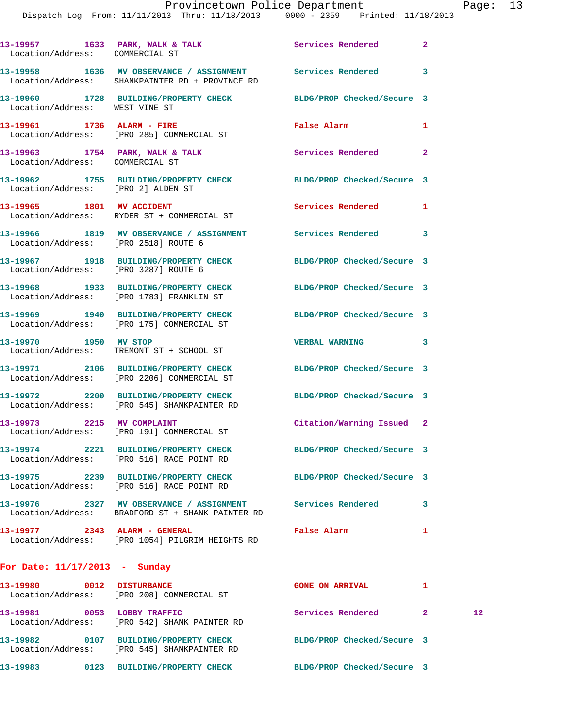## Provincetown Police Department Page: 13

Dispatch Log From: 11/11/2013 Thru: 11/18/2013 0000 - 2359 Printed: 11/18/2013

| 13-19957 1633 PARK, WALK & TALK<br>Location/Address: COMMERCIAL ST |                                                                                              | Services Rendered          | 2              |
|--------------------------------------------------------------------|----------------------------------------------------------------------------------------------|----------------------------|----------------|
|                                                                    | 13-19958 1636 MV OBSERVANCE / ASSIGNMENT<br>Location/Address: SHANKPAINTER RD + PROVINCE RD  | Services Rendered          | 3              |
| Location/Address: WEST VINE ST                                     | 13-19960 1728 BUILDING/PROPERTY CHECK                                                        | BLDG/PROP Checked/Secure 3 |                |
| 13-19961 1736 ALARM - FIRE                                         | Location/Address: [PRO 285] COMMERCIAL ST                                                    | False Alarm                | 1              |
| Location/Address: COMMERCIAL ST                                    | 13-19963 1754 PARK, WALK & TALK                                                              | Services Rendered          | $\overline{2}$ |
| Location/Address: [PRO 2] ALDEN ST                                 | 13-19962 1755 BUILDING/PROPERTY CHECK                                                        | BLDG/PROP Checked/Secure 3 |                |
| 13-19965 1801 MV ACCIDENT                                          | Location/Address: RYDER ST + COMMERCIAL ST                                                   | Services Rendered          | 1              |
| Location/Address: [PRO 2518] ROUTE 6                               | 13-19966 1819 MV OBSERVANCE / ASSIGNMENT                                                     | <b>Services Rendered</b>   | 3              |
| Location/Address: [PRO 3287] ROUTE 6                               | 13-19967 1918 BUILDING/PROPERTY CHECK                                                        | BLDG/PROP Checked/Secure 3 |                |
|                                                                    | 13-19968 1933 BUILDING/PROPERTY CHECK<br>Location/Address: [PRO 1783] FRANKLIN ST            | BLDG/PROP Checked/Secure 3 |                |
|                                                                    | 13-19969 1940 BUILDING/PROPERTY CHECK<br>Location/Address: [PRO 175] COMMERCIAL ST           | BLDG/PROP Checked/Secure 3 |                |
| 13-19970 1950 MV STOP                                              | Location/Address: TREMONT ST + SCHOOL ST                                                     | <b>VERBAL WARNING</b>      | 3              |
|                                                                    | 13-19971 2106 BUILDING/PROPERTY CHECK<br>Location/Address: [PRO 2206] COMMERCIAL ST          | BLDG/PROP Checked/Secure 3 |                |
|                                                                    | 13-19972 2200 BUILDING/PROPERTY CHECK<br>Location/Address: [PRO 545] SHANKPAINTER RD         | BLDG/PROP Checked/Secure 3 |                |
| 13-19973 2215 MV COMPLAINT                                         | Location/Address: [PRO 191] COMMERCIAL ST                                                    | Citation/Warning Issued    | -2             |
| 13-19974<br>2221<br>Location/Address:                              | <b>BUILDING/PROPERTY CHECK</b><br>[PRO 516] RACE POINT RD                                    | BLDG/PROP Checked/Secure 3 |                |
| 13-19975                                                           | 2239 BUILDING/PROPERTY CHECK<br>Location/Address: [PRO 516] RACE POINT RD                    | BLDG/PROP Checked/Secure 3 |                |
|                                                                    | 13-19976 2327 MV OBSERVANCE / ASSIGNMENT<br>Location/Address: BRADFORD ST + SHANK PAINTER RD | Services Rendered          | 3              |
| 13-19977                                                           | 2343 ALARM - GENERAL<br>Location/Address: [PRO 1054] PILGRIM HEIGHTS RD                      | False Alarm                | 1              |

## **For Date: 11/17/2013 - Sunday**

| 13–19980<br>Location/Address: | 0012 | <b>DISTURBANCE</b><br>[PRO 208] COMMERCIAL ST        | <b>GONE ON ARRIVAL</b>     |                 |
|-------------------------------|------|------------------------------------------------------|----------------------------|-----------------|
| 13–19981<br>Location/Address: | 0053 | LOBBY TRAFFIC<br>[PRO 542] SHANK PAINTER RD          | Services Rendered          | 12 <sup>°</sup> |
| 13–19982<br>Location/Address: | 0107 | BUILDING/PROPERTY CHECK<br>[PRO 545] SHANKPAINTER RD | BLDG/PROP Checked/Secure 3 |                 |
| 13–19983                      | 0123 | <b>BUILDING/PROPERTY CHECK</b>                       | BLDG/PROP Checked/Secure 3 |                 |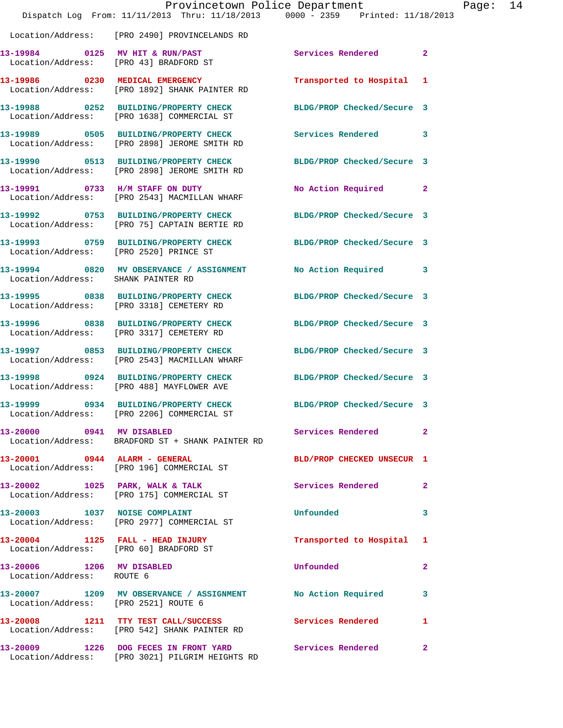|                                                        | Dispatch Log From: 11/11/2013 Thru: 11/18/2013 0000 - 2359 Printed: 11/18/2013                                   | Provincetown Police Department |                | Page: | 14 |
|--------------------------------------------------------|------------------------------------------------------------------------------------------------------------------|--------------------------------|----------------|-------|----|
|                                                        | Location/Address: [PRO 2490] PROVINCELANDS RD                                                                    |                                |                |       |    |
|                                                        | 13-19984 0125 MV HIT & RUN/PAST<br>Location/Address: [PRO 43] BRADFORD ST                                        | Services Rendered              | $\overline{2}$ |       |    |
|                                                        | 13-19986 0230 MEDICAL EMERGENCY<br>Location/Address: [PRO 1892] SHANK PAINTER RD                                 | Transported to Hospital 1      |                |       |    |
|                                                        | 13-19988 0252 BUILDING/PROPERTY CHECK<br>Location/Address: [PRO 1638] COMMERCIAL ST                              | BLDG/PROP Checked/Secure 3     |                |       |    |
|                                                        | 13-19989 0505 BUILDING/PROPERTY CHECK Services Rendered 3<br>Location/Address: [PRO 2898] JEROME SMITH RD        |                                |                |       |    |
|                                                        | 13-19990 0513 BUILDING/PROPERTY CHECK BLDG/PROP Checked/Secure 3<br>Location/Address: [PRO 2898] JEROME SMITH RD |                                |                |       |    |
|                                                        | 13-19991 0733 H/M STAFF ON DUTY<br>Location/Address: [PRO 2543] MACMILLAN WHARF                                  | No Action Required 2           |                |       |    |
|                                                        | 13-19992 0753 BUILDING/PROPERTY CHECK BLDG/PROP Checked/Secure 3<br>Location/Address: [PRO 75] CAPTAIN BERTIE RD |                                |                |       |    |
|                                                        | 13-19993 0759 BUILDING/PROPERTY CHECK BLDG/PROP Checked/Secure 3<br>Location/Address: [PRO 2520] PRINCE ST       |                                |                |       |    |
| Location/Address: SHANK PAINTER RD                     | 13-19994 0820 MV OBSERVANCE / ASSIGNMENT                                                                         | No Action Required 3           |                |       |    |
|                                                        | 13-19995 0838 BUILDING/PROPERTY CHECK<br>Location/Address: [PRO 3318] CEMETERY RD                                | BLDG/PROP Checked/Secure 3     |                |       |    |
|                                                        | 13-19996 0838 BUILDING/PROPERTY CHECK<br>Location/Address: [PRO 3317] CEMETERY RD                                | BLDG/PROP Checked/Secure 3     |                |       |    |
|                                                        | 13-19997 0853 BUILDING/PROPERTY CHECK<br>Location/Address: [PRO 2543] MACMILLAN WHARF                            | BLDG/PROP Checked/Secure 3     |                |       |    |
|                                                        | 13-19998 0924 BUILDING/PROPERTY CHECK BLDG/PROP Checked/Secure 3<br>Location/Address: [PRO 488] MAYFLOWER AVE    |                                |                |       |    |
|                                                        | 13-19999 0934 BUILDING/PROPERTY CHECK BLDG/PROP Checked/Secure 3<br>Location/Address: [PRO 2206] COMMERCIAL ST   |                                |                |       |    |
| 13-20000 0941 MV DISABLED                              | Location/Address: BRADFORD ST + SHANK PAINTER RD                                                                 | Services Rendered 2            |                |       |    |
|                                                        | 13-20001 0944 ALARM - GENERAL<br>Location/Address: [PRO 196] COMMERCIAL ST                                       | BLD/PROP CHECKED UNSECUR 1     |                |       |    |
|                                                        | 13-20002 1025 PARK, WALK & TALK<br>Location/Address: [PRO 175] COMMERCIAL ST                                     | Services Rendered 2            |                |       |    |
|                                                        | 13-20003 1037 NOISE COMPLAINT<br>Location/Address: [PRO 2977] COMMERCIAL ST                                      | Unfounded                      | 3              |       |    |
|                                                        | 13-20004 1125 FALL - HEAD INJURY<br>Location/Address: [PRO 60] BRADFORD ST                                       | Transported to Hospital 1      |                |       |    |
| 13-20006 1206 MV DISABLED<br>Location/Address: ROUTE 6 |                                                                                                                  | Unfounded                      | 2              |       |    |
| Location/Address: [PRO 2521] ROUTE 6                   | 13-20007 1209 MV OBSERVANCE / ASSIGNMENT No Action Required                                                      |                                | 3              |       |    |
|                                                        | 13-20008 1211 TTY TEST CALL/SUCCESS<br>Location/Address: [PRO 542] SHANK PAINTER RD                              | Services Rendered              | 1              |       |    |
|                                                        | 13-20009 1226 DOG FECES IN FRONT YARD<br>Location/Address: [PRO 3021] PILGRIM HEIGHTS RD                         | Services Rendered 2            |                |       |    |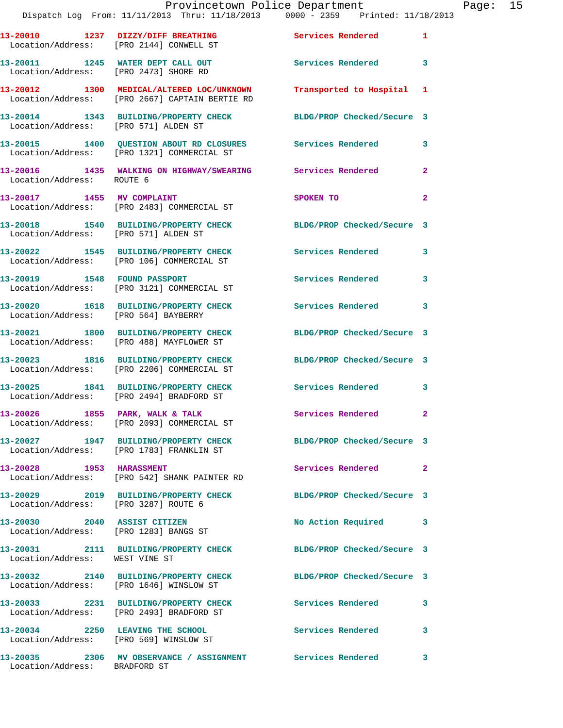|                                      | Dispatch Log From: 11/11/2013 Thru: 11/18/2013 0000 - 2359 Printed: 11/18/2013                                        | Provincetown Police Department Page: 15 |                |  |
|--------------------------------------|-----------------------------------------------------------------------------------------------------------------------|-----------------------------------------|----------------|--|
|                                      | 13-20010 1237 DIZZY/DIFF BREATHING Services Rendered 1<br>Location/Address: [PRO 2144] CONWELL ST                     |                                         |                |  |
|                                      | 13-20011 1245 WATER DEPT CALL OUT Services Rendered 3<br>Location/Address: [PRO 2473] SHORE RD                        |                                         |                |  |
|                                      | 13-20012 1300 MEDICAL/ALTERED LOC/UNKNOWN Transported to Hospital 1<br>Location/Address: [PRO 2667] CAPTAIN BERTIE RD |                                         |                |  |
|                                      | 13-20014 1343 BUILDING/PROPERTY CHECK BLDG/PROP Checked/Secure 3<br>Location/Address: [PRO 571] ALDEN ST              |                                         |                |  |
|                                      | 13-20015 1400 QUESTION ABOUT RD CLOSURES Services Rendered 3<br>Location/Address: [PRO 1321] COMMERCIAL ST            |                                         |                |  |
| Location/Address: ROUTE 6            | 13-20016 1435 WALKING ON HIGHWAY/SWEARING Services Rendered                                                           |                                         | $\overline{2}$ |  |
|                                      | 13-20017 1455 MV COMPLAINT<br>Location/Address: [PRO 2483] COMMERCIAL ST                                              | SPOKEN TO                               | $\overline{2}$ |  |
| Location/Address: [PRO 571] ALDEN ST | 13-20018 1540 BUILDING/PROPERTY CHECK BLDG/PROP Checked/Secure 3                                                      |                                         |                |  |
|                                      | 13-20022 1545 BUILDING/PROPERTY CHECK Services Rendered 3<br>Location/Address: [PRO 106] COMMERCIAL ST                |                                         |                |  |
|                                      | 13-20019 1548 FOUND PASSPORT<br>Location/Address: [PRO 3121] COMMERCIAL ST                                            | Services Rendered                       | 3              |  |
| Location/Address: [PRO 564] BAYBERRY | 13-20020 1618 BUILDING/PROPERTY CHECK Services Rendered 3                                                             |                                         |                |  |
|                                      | 13-20021 1800 BUILDING/PROPERTY CHECK<br>Location/Address: [PRO 488] MAYFLOWER ST                                     | BLDG/PROP Checked/Secure 3              |                |  |
|                                      | 13-20023 1816 BUILDING/PROPERTY CHECK BLDG/PROP Checked/Secure 3<br>Location/Address: [PRO 2206] COMMERCIAL ST        |                                         |                |  |
|                                      | 13-20025 1841 BUILDING/PROPERTY CHECK<br>Location/Address: [PRO 2494] BRADFORD ST                                     | Services Rendered 3                     |                |  |
|                                      | 13-20026 1855 PARK, WALK & TALK<br>Location/Address: [PRO 2093] COMMERCIAL ST                                         | Services Rendered 2                     |                |  |
|                                      | 13-20027 1947 BUILDING/PROPERTY CHECK BLDG/PROP Checked/Secure 3<br>Location/Address: [PRO 1783] FRANKLIN ST          |                                         |                |  |
| 13-20028 1953 HARASSMENT             | Location/Address: [PRO 542] SHANK PAINTER RD                                                                          | Services Rendered                       | $\mathbf{2}$   |  |
| Location/Address: [PRO 3287] ROUTE 6 | 13-20029 2019 BUILDING/PROPERTY CHECK BLDG/PROP Checked/Secure 3                                                      |                                         |                |  |
|                                      | 13-20030 2040 ASSIST CITIZEN<br>Location/Address: [PRO 1283] BANGS ST                                                 | No Action Required 3                    |                |  |
| Location/Address: WEST VINE ST       | 13-20031 2111 BUILDING/PROPERTY CHECK BLDG/PROP Checked/Secure 3                                                      |                                         |                |  |
|                                      | 13-20032 2140 BUILDING/PROPERTY CHECK BLDG/PROP Checked/Secure 3<br>Location/Address: [PRO 1646] WINSLOW ST           |                                         |                |  |
|                                      | 13-20033 2231 BUILDING/PROPERTY CHECK Services Rendered<br>Location/Address: [PRO 2493] BRADFORD ST                   |                                         | 3              |  |
|                                      | 13-20034 2250 LEAVING THE SCHOOL<br>Location/Address: [PRO 569] WINSLOW ST                                            | Services Rendered                       | 3              |  |
|                                      | 13-20035                2306    MV  OBSERVANCE  /  ASSIGNMENT                 Services  Rendered                      |                                         | 3              |  |

Location/Address: BRADFORD ST